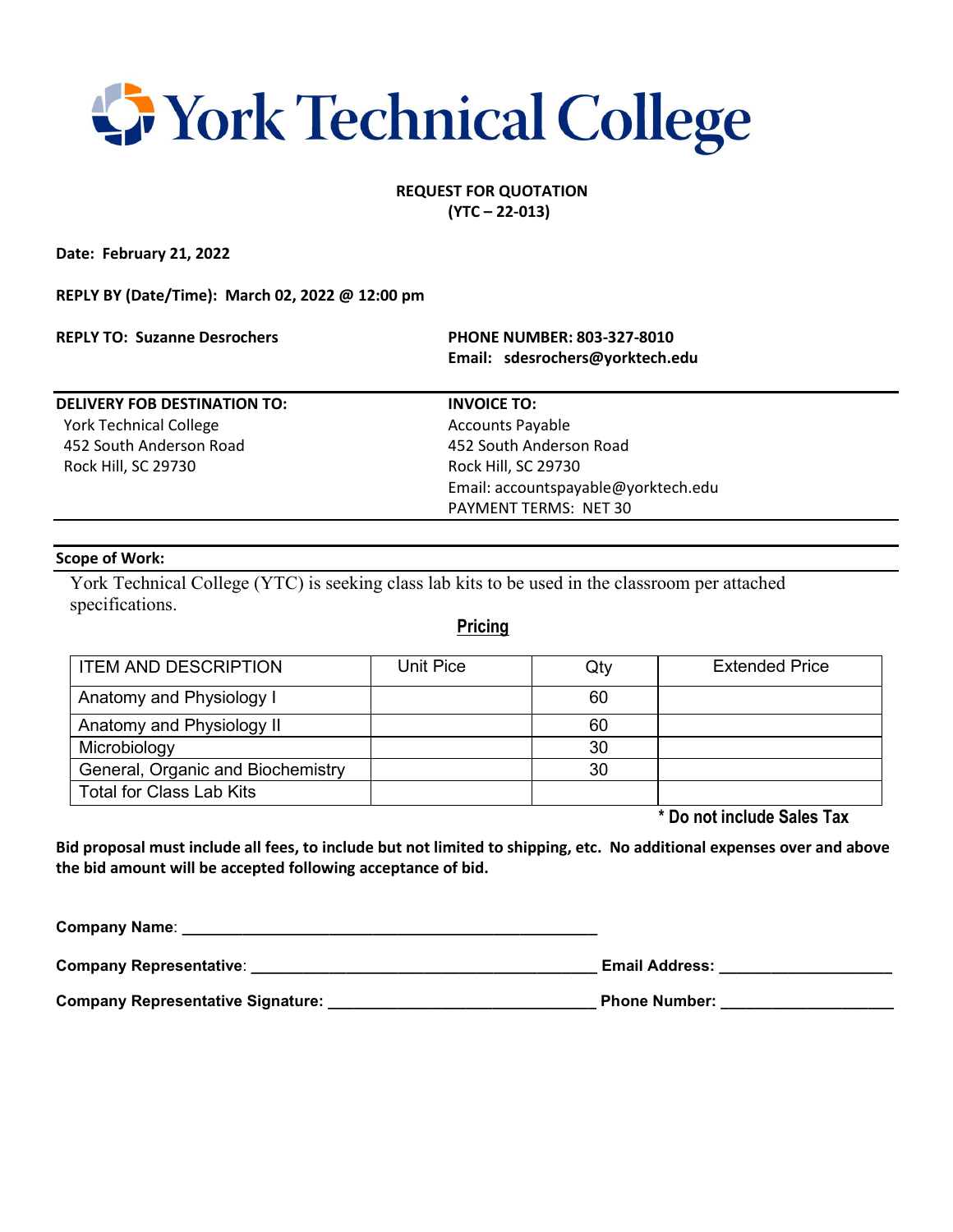## **Work Technical College**

#### **REQUEST FOR QUOTATION (YTC – 22-013)**

**Date: February 21, 2022**

**REPLY BY (Date/Time): March 02, 2022 @ 12:00 pm**

**REPLY TO: Suzanne Desrochers PHONE NUMBER: 803-327-8010**

 **Email: sdesrochers@yorktech.edu**

**DELIVERY FOB DESTINATION TO: INVOICE TO:** York Technical College Accounts Payable

Rock Hill, SC 29730 Rock Hill, SC 29730

 452 South Anderson Road 452 South Anderson Road Email: accountspayable@yorktech.edu PAYMENT TERMS: NET 30

#### **Scope of Work:**

York Technical College (YTC) is seeking class lab kits to be used in the classroom per attached specifications.

### **Pricing**

| <b>ITEM AND DESCRIPTION</b>       | Unit Pice | Qty | <b>Extended Price</b> |
|-----------------------------------|-----------|-----|-----------------------|
| Anatomy and Physiology I          |           | 60  |                       |
| Anatomy and Physiology II         |           | 60  |                       |
| Microbiology                      |           | 30  |                       |
| General, Organic and Biochemistry |           | 30  |                       |
| <b>Total for Class Lab Kits</b>   |           |     |                       |

**\* Do not include Sales Tax**

**Bid proposal must include all fees, to include but not limited to shipping, etc. No additional expenses over and above the bid amount will be accepted following acceptance of bid.**

| <b>Company Name:</b>              |                       |
|-----------------------------------|-----------------------|
| <b>Company Representative:</b>    | <b>Email Address:</b> |
| Company Representative Signature: | <b>Phone Number:</b>  |